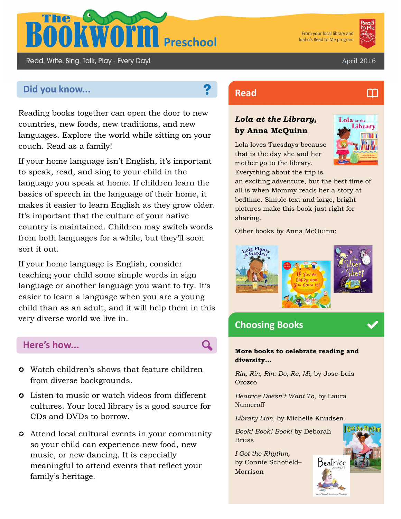

From your local library and Idaho's Read to Me program



M

April 2016

# **Did you know... Read Read**

Read, Write, Sing, Talk, Play - Every Day!

Reading books together can open the door to new countries, new foods, new traditions, and new languages. Explore the world while sitting on your couch. Read as a family!

If your home language isn't English, it's important to speak, read, and sing to your child in the language you speak at home. If children learn the basics of speech in the language of their home, it makes it easier to learn English as they grow older. It's important that the culture of your native country is maintained. Children may switch words from both languages for a while, but they'll soon sort it out.

If your home language is English, consider teaching your child some simple words in sign language or another language you want to try. It's easier to learn a language when you are a young child than as an adult, and it will help them in this very diverse world we live in.

# **Here's how...**

- Watch children's shows that feature children from diverse backgrounds.
- $\circ$  Listen to music or watch videos from different cultures. Your local library is a good source for CDs and DVDs to borrow.
- Attend local cultural events in your community so your child can experience new food, new music, or new dancing. It is especially meaningful to attend events that reflect your family's heritage.

# *Lola at the Library,*  **by Anna McQuinn**

Lola loves Tuesdays because that is the day she and her mother go to the library. Everything about the trip is



an exciting adventure, but the best time of all is when Mommy reads her a story at bedtime. Simple text and large, bright pictures make this book just right for sharing.

Other books by Anna McQuinn:



# **Choosing Books**

#### **More books to celebrate reading and diversity...**

*Rin, Rin, Rin: Do, Re, Mi,* by Jose-Luis Orozco

*Beatrice Doesn't Want To,* by Laura Numeroff

*Library Lion,* by Michelle Knudsen

*Book! Book! Book!* by Deborah Bruss

*I Got the Rhythm,*  by Connie Schofield– Morrison